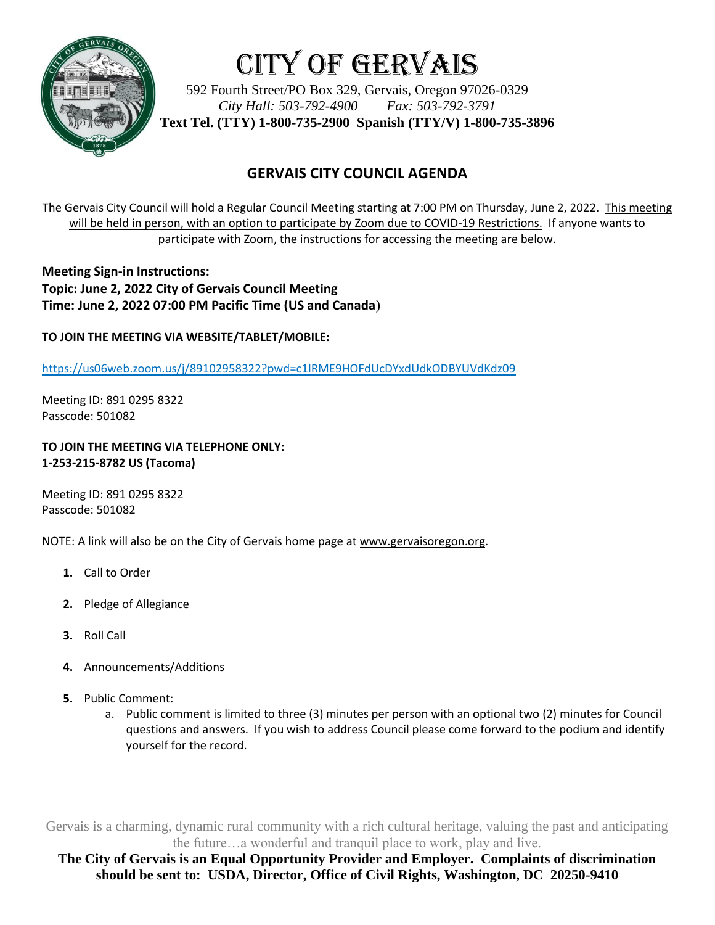

# City of Gervais

592 Fourth Street/PO Box 329, Gervais, Oregon 97026-0329 *City Hall: 503-792-4900 Fax: 503-792-3791* **Text Tel. (TTY) 1-800-735-2900 Spanish (TTY/V) 1-800-735-3896**

## **GERVAIS CITY COUNCIL AGENDA**

The Gervais City Council will hold a Regular Council Meeting starting at 7:00 PM on Thursday, June 2, 2022. This meeting will be held in person, with an option to participate by Zoom due to COVID-19 Restrictions. If anyone wants to participate with Zoom, the instructions for accessing the meeting are below.

**Meeting Sign-in Instructions: Topic: June 2, 2022 City of Gervais Council Meeting Time: June 2, 2022 07:00 PM Pacific Time (US and Canada**)

**TO JOIN THE MEETING VIA WEBSITE/TABLET/MOBILE:**

https://us06web.zoom.us/j/89102958322?pwd=c1lRME9HOFdUcDYxdUdkODBYUVdKdz09

Meeting ID: 891 0295 8322 Passcode: 501082

#### **TO JOIN THE MEETING VIA TELEPHONE ONLY: 1-253-215-8782 US (Tacoma)**

Meeting ID: 891 0295 8322 Passcode: 501082

NOTE: A link will also be on the City of Gervais home page at www.gervaisoregon.org.

- **1.** Call to Order
- **2.** Pledge of Allegiance
- **3.** Roll Call
- **4.** Announcements/Additions
- **5.** Public Comment:
	- a. Public comment is limited to three (3) minutes per person with an optional two (2) minutes for Council questions and answers. If you wish to address Council please come forward to the podium and identify yourself for the record.

Gervais is a charming, dynamic rural community with a rich cultural heritage, valuing the past and anticipating the future…a wonderful and tranquil place to work, play and live.

**The City of Gervais is an Equal Opportunity Provider and Employer. Complaints of discrimination should be sent to: USDA, Director, Office of Civil Rights, Washington, DC 20250-9410**